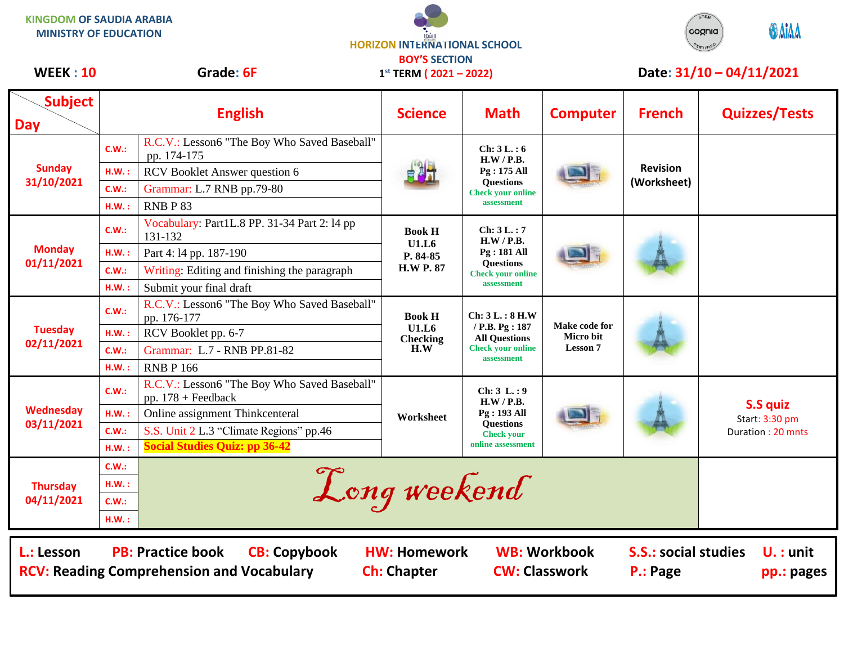**KINGDOM OF SAUDIA ARABIA MINISTRY OF EDUCATION**

**HORIZON INTERNATIONAL SCHOOL BOY'S SECTION 1 st TERM ( 2021 – 2022)**



## WEEK : 10 Grade: 6F 1<sup>st</sup> TERM (2021 – 2022) Date: 31/10 – 04/11/2021

| <b>Subject</b><br><b>Day</b>                                                                                                                             | <b>English</b> |                                                                      | <b>Science</b>                                         | <b>Math</b>                                                                                             | <b>Computer</b>                               | <b>French</b>                  | <b>Quizzes/Tests</b>                                   |  |  |
|----------------------------------------------------------------------------------------------------------------------------------------------------------|----------------|----------------------------------------------------------------------|--------------------------------------------------------|---------------------------------------------------------------------------------------------------------|-----------------------------------------------|--------------------------------|--------------------------------------------------------|--|--|
| <b>Sunday</b><br>31/10/2021                                                                                                                              | C.W.:          | R.C.V.: Lesson6 "The Boy Who Saved Baseball"<br>pp. 174-175          |                                                        | Ch: 3L:6<br>H.W / P.B.<br>Pg: 175 All<br><b>Questions</b><br><b>Check your online</b><br>assessment     |                                               | <b>Revision</b><br>(Worksheet) |                                                        |  |  |
|                                                                                                                                                          | HM.:           | RCV Booklet Answer question 6                                        |                                                        |                                                                                                         |                                               |                                |                                                        |  |  |
|                                                                                                                                                          | C.W.:          | Grammar: L.7 RNB pp.79-80                                            |                                                        |                                                                                                         |                                               |                                |                                                        |  |  |
|                                                                                                                                                          | H.W.:          | RNBP83                                                               |                                                        |                                                                                                         |                                               |                                |                                                        |  |  |
| <b>Monday</b><br>01/11/2021                                                                                                                              | C.W.:          | Vocabulary: Part1L.8 PP. 31-34 Part 2: 14 pp<br>131-132              | <b>Book H</b><br>U1.L6<br>P. 84-85<br><b>H.W P. 87</b> | Ch: 3L.: 7<br>H.W / P.B.<br>$Pg: 181$ All<br><b>Ouestions</b><br><b>Check your online</b><br>assessment |                                               |                                |                                                        |  |  |
|                                                                                                                                                          | H.W.:          | Part 4:14 pp. 187-190                                                |                                                        |                                                                                                         |                                               |                                |                                                        |  |  |
|                                                                                                                                                          | C.W.:          | Writing: Editing and finishing the paragraph                         |                                                        |                                                                                                         |                                               |                                |                                                        |  |  |
|                                                                                                                                                          | H.W.:          | Submit your final draft                                              |                                                        |                                                                                                         |                                               |                                |                                                        |  |  |
| <b>Tuesday</b><br>02/11/2021                                                                                                                             | C.W.:          | R.C.V.: Lesson6 "The Boy Who Saved Baseball"<br>pp. 176-177          | <b>Book H</b><br>U1.L6<br><b>Checking</b><br>H.W       | Ch: 3L.: 8 H.W<br>/ P.B. Pg: 187<br><b>All Questions</b><br><b>Check your online</b><br>assessment      | Make code for<br>Micro bit<br><b>Lesson 7</b> |                                |                                                        |  |  |
|                                                                                                                                                          | H.W.:          | RCV Booklet pp. 6-7                                                  |                                                        |                                                                                                         |                                               |                                |                                                        |  |  |
|                                                                                                                                                          | C.W.:          | Grammar: L.7 - RNB PP.81-82                                          |                                                        |                                                                                                         |                                               |                                |                                                        |  |  |
|                                                                                                                                                          | H.W.:          | <b>RNB P 166</b>                                                     |                                                        |                                                                                                         |                                               |                                |                                                        |  |  |
| Wednesday<br>03/11/2021                                                                                                                                  | C.W.:          | R.C.V.: Lesson6 "The Boy Who Saved Baseball"<br>pp. $178 +$ Feedback | Worksheet                                              | Ch: 3 L: 9<br>H.W / P.B.<br>Pg: 193 All<br><b>Ouestions</b><br><b>Check your</b><br>online assessment   |                                               |                                | <b>S.S quiz</b><br>Start: 3:30 pm<br>Duration: 20 mnts |  |  |
|                                                                                                                                                          | H.W.:          | Online assignment Thinkcenteral                                      |                                                        |                                                                                                         |                                               |                                |                                                        |  |  |
|                                                                                                                                                          | C.W.:          | S.S. Unit 2 L.3 "Climate Regions" pp.46                              |                                                        |                                                                                                         |                                               |                                |                                                        |  |  |
|                                                                                                                                                          | H.W.:          | <b>Social Studies Quiz: pp 36-42</b>                                 |                                                        |                                                                                                         |                                               |                                |                                                        |  |  |
| <b>Thursday</b><br>04/11/2021                                                                                                                            | C.W.:          |                                                                      |                                                        |                                                                                                         |                                               |                                |                                                        |  |  |
|                                                                                                                                                          | H.W.:          | Long weekend                                                         |                                                        |                                                                                                         |                                               |                                |                                                        |  |  |
|                                                                                                                                                          | C.W.:          |                                                                      |                                                        |                                                                                                         |                                               |                                |                                                        |  |  |
|                                                                                                                                                          | H.W.:          |                                                                      |                                                        |                                                                                                         |                                               |                                |                                                        |  |  |
|                                                                                                                                                          |                |                                                                      |                                                        |                                                                                                         |                                               |                                |                                                        |  |  |
| <b>PB: Practice book</b><br><b>CB: Copybook</b><br><b>WB: Workbook</b><br><b>S.S.: social studies</b><br>L.: Lesson<br><b>HW: Homework</b><br>$U.:$ unit |                |                                                                      |                                                        |                                                                                                         |                                               |                                |                                                        |  |  |
| <b>RCV: Reading Comprehension and Vocabulary</b><br><b>Ch: Chapter</b><br><b>CW: Classwork</b><br>P.: Page<br>pp.: pages                                 |                |                                                                      |                                                        |                                                                                                         |                                               |                                |                                                        |  |  |